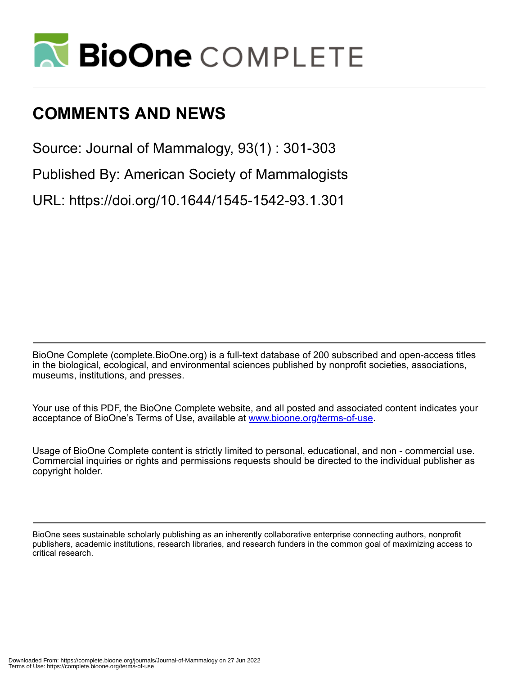

# **COMMENTS AND NEWS**

Source: Journal of Mammalogy, 93(1) : 301-303

Published By: American Society of Mammalogists

URL: https://doi.org/10.1644/1545-1542-93.1.301

BioOne Complete (complete.BioOne.org) is a full-text database of 200 subscribed and open-access titles in the biological, ecological, and environmental sciences published by nonprofit societies, associations, museums, institutions, and presses.

Your use of this PDF, the BioOne Complete website, and all posted and associated content indicates your acceptance of BioOne's Terms of Use, available at www.bioone.org/terms-of-use.

Usage of BioOne Complete content is strictly limited to personal, educational, and non - commercial use. Commercial inquiries or rights and permissions requests should be directed to the individual publisher as copyright holder.

BioOne sees sustainable scholarly publishing as an inherently collaborative enterprise connecting authors, nonprofit publishers, academic institutions, research libraries, and research funders in the common goal of maximizing access to critical research.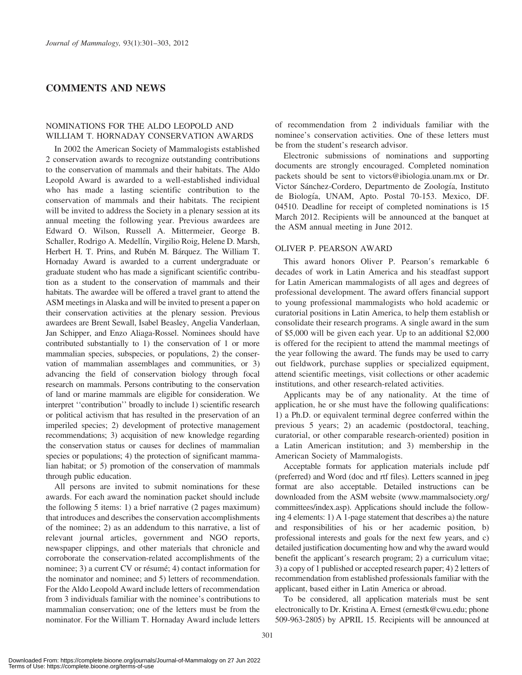# COMMENTS AND NEWS

### NOMINATIONS FOR THE ALDO LEOPOLD AND WILLIAM T. HORNADAY CONSERVATION AWARDS

In 2002 the American Society of Mammalogists established 2 conservation awards to recognize outstanding contributions to the conservation of mammals and their habitats. The Aldo Leopold Award is awarded to a well-established individual who has made a lasting scientific contribution to the conservation of mammals and their habitats. The recipient will be invited to address the Society in a plenary session at its annual meeting the following year. Previous awardees are Edward O. Wilson, Russell A. Mittermeier, George B. Schaller, Rodrigo A. Medellín, Virgilio Roig, Helene D. Marsh, Herbert H. T. Prins, and Rubén M. Bárquez. The William T. Hornaday Award is awarded to a current undergraduate or graduate student who has made a significant scientific contribution as a student to the conservation of mammals and their habitats. The awardee will be offered a travel grant to attend the ASM meetings in Alaska and will be invited to present a paper on their conservation activities at the plenary session. Previous awardees are Brent Sewall, Isabel Beasley, Angelia Vanderlaan, Jan Schipper, and Enzo Aliaga-Rossel. Nominees should have contributed substantially to 1) the conservation of 1 or more mammalian species, subspecies, or populations, 2) the conservation of mammalian assemblages and communities, or 3) advancing the field of conservation biology through focal research on mammals. Persons contributing to the conservation of land or marine mammals are eligible for consideration. We interpret ''contribution'' broadly to include 1) scientific research or political activism that has resulted in the preservation of an imperiled species; 2) development of protective management recommendations; 3) acquisition of new knowledge regarding the conservation status or causes for declines of mammalian species or populations; 4) the protection of significant mammalian habitat; or 5) promotion of the conservation of mammals through public education.

All persons are invited to submit nominations for these awards. For each award the nomination packet should include the following 5 items: 1) a brief narrative (2 pages maximum) that introduces and describes the conservation accomplishments of the nominee; 2) as an addendum to this narrative, a list of relevant journal articles, government and NGO reports, newspaper clippings, and other materials that chronicle and corroborate the conservation-related accomplishments of the nominee; 3) a current CV or résumé; 4) contact information for the nominator and nominee; and 5) letters of recommendation. For the Aldo Leopold Award include letters of recommendation from 3 individuals familiar with the nominee's contributions to mammalian conservation; one of the letters must be from the nominator. For the William T. Hornaday Award include letters of recommendation from 2 individuals familiar with the nominee's conservation activities. One of these letters must be from the student's research advisor.

Electronic submissions of nominations and supporting documents are strongly encouraged. Completed nomination packets should be sent to victors@ibiologia.unam.mx or Dr. Victor Sánchez-Cordero, Departmento de Zoología, Instituto de Biología, UNAM, Apto. Postal 70-153. Mexico, DF. 04510. Deadline for receipt of completed nominations is 15 March 2012. Recipients will be announced at the banquet at the ASM annual meeting in June 2012.

### OLIVER P. PEARSON AWARD

This award honors Oliver P. Pearson's remarkable 6 decades of work in Latin America and his steadfast support for Latin American mammalogists of all ages and degrees of professional development. The award offers financial support to young professional mammalogists who hold academic or curatorial positions in Latin America, to help them establish or consolidate their research programs. A single award in the sum of \$5,000 will be given each year. Up to an additional \$2,000 is offered for the recipient to attend the mammal meetings of the year following the award. The funds may be used to carry out fieldwork, purchase supplies or specialized equipment, attend scientific meetings, visit collections or other academic institutions, and other research-related activities.

Applicants may be of any nationality. At the time of application, he or she must have the following qualifications: 1) a Ph.D. or equivalent terminal degree conferred within the previous 5 years; 2) an academic (postdoctoral, teaching, curatorial, or other comparable research-oriented) position in a Latin American institution; and 3) membership in the American Society of Mammalogists.

Acceptable formats for application materials include pdf (preferred) and Word (doc and rtf files). Letters scanned in jpeg format are also acceptable. Detailed instructions can be downloaded from the ASM website (www.mammalsociety.org/ committees/index.asp). Applications should include the following 4 elements: 1) A 1-page statement that describes a) the nature and responsibilities of his or her academic position, b) professional interests and goals for the next few years, and c) detailed justification documenting how and why the award would benefit the applicant's research program; 2) a curriculum vitae; 3) a copy of 1 published or accepted research paper; 4) 2 letters of recommendation from established professionals familiar with the applicant, based either in Latin America or abroad.

To be considered, all application materials must be sent electronically to Dr. Kristina A. Ernest (ernestk@cwu.edu; phone 509-963-2805) by APRIL 15. Recipients will be announced at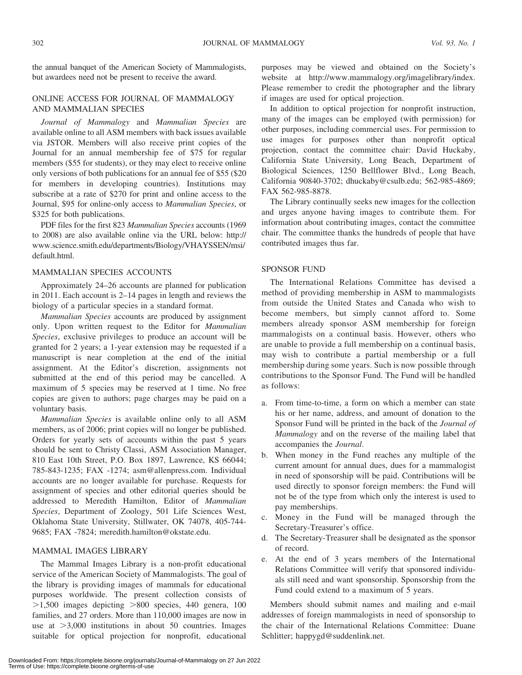the annual banquet of the American Society of Mammalogists, but awardees need not be present to receive the award.

# ONLINE ACCESS FOR JOURNAL OF MAMMALOGY AND MAMMALIAN SPECIES

Journal of Mammalogy and Mammalian Species are available online to all ASM members with back issues available via JSTOR. Members will also receive print copies of the Journal for an annual membership fee of \$75 for regular members (\$55 for students), or they may elect to receive online only versions of both publications for an annual fee of \$55 (\$20 for members in developing countries). Institutions may subscribe at a rate of \$270 for print and online access to the Journal, \$95 for online-only access to Mammalian Species, or \$325 for both publications.

PDF files for the first 823 Mammalian Species accounts (1969 to 2008) are also available online via the URL below: http:// www.science.smith.edu/departments/Biology/VHAYSSEN/msi/ default.html.

## MAMMALIAN SPECIES ACCOUNTS

Approximately 24–26 accounts are planned for publication in 2011. Each account is 2–14 pages in length and reviews the biology of a particular species in a standard format.

Mammalian Species accounts are produced by assignment only. Upon written request to the Editor for Mammalian Species, exclusive privileges to produce an account will be granted for 2 years; a 1-year extension may be requested if a manuscript is near completion at the end of the initial assignment. At the Editor's discretion, assignments not submitted at the end of this period may be cancelled. A maximum of 5 species may be reserved at 1 time. No free copies are given to authors; page charges may be paid on a voluntary basis.

Mammalian Species is available online only to all ASM members, as of 2006; print copies will no longer be published. Orders for yearly sets of accounts within the past 5 years should be sent to Christy Classi, ASM Association Manager, 810 East 10th Street, P.O. Box 1897, Lawrence, KS 66044; 785-843-1235; FAX -1274; asm@allenpress.com. Individual accounts are no longer available for purchase. Requests for assignment of species and other editorial queries should be addressed to Meredith Hamilton, Editor of Mammalian Species, Department of Zoology, 501 Life Sciences West, Oklahoma State University, Stillwater, OK 74078, 405-744- 9685; FAX -7824; meredith.hamilton@okstate.edu.

### MAMMAL IMAGES LIBRARY

The Mammal Images Library is a non-profit educational service of the American Society of Mammalogists. The goal of the library is providing images of mammals for educational purposes worldwide. The present collection consists of  $>1,500$  images depicting  $>800$  species, 440 genera, 100 families, and 27 orders. More than 110,000 images are now in use at  $>3,000$  institutions in about 50 countries. Images suitable for optical projection for nonprofit, educational

purposes may be viewed and obtained on the Society's website at http://www.mammalogy.org/imagelibrary/index. Please remember to credit the photographer and the library if images are used for optical projection.

In addition to optical projection for nonprofit instruction, many of the images can be employed (with permission) for other purposes, including commercial uses. For permission to use images for purposes other than nonprofit optical projection, contact the committee chair: David Huckaby, California State University, Long Beach, Department of Biological Sciences, 1250 Bellflower Blvd., Long Beach, California 90840-3702; dhuckaby@csulb.edu; 562-985-4869; FAX 562-985-8878.

The Library continually seeks new images for the collection and urges anyone having images to contribute them. For information about contributing images, contact the committee chair. The committee thanks the hundreds of people that have contributed images thus far.

### SPONSOR FUND

The International Relations Committee has devised a method of providing membership in ASM to mammalogists from outside the United States and Canada who wish to become members, but simply cannot afford to. Some members already sponsor ASM membership for foreign mammalogists on a continual basis. However, others who are unable to provide a full membership on a continual basis, may wish to contribute a partial membership or a full membership during some years. Such is now possible through contributions to the Sponsor Fund. The Fund will be handled as follows:

- a. From time-to-time, a form on which a member can state his or her name, address, and amount of donation to the Sponsor Fund will be printed in the back of the Journal of Mammalogy and on the reverse of the mailing label that accompanies the Journal.
- b. When money in the Fund reaches any multiple of the current amount for annual dues, dues for a mammalogist in need of sponsorship will be paid. Contributions will be used directly to sponsor foreign members: the Fund will not be of the type from which only the interest is used to pay memberships.
- c. Money in the Fund will be managed through the Secretary-Treasurer's office.
- d. The Secretary-Treasurer shall be designated as the sponsor of record.
- e. At the end of 3 years members of the International Relations Committee will verify that sponsored individuals still need and want sponsorship. Sponsorship from the Fund could extend to a maximum of 5 years.

Members should submit names and mailing and e-mail addresses of foreign mammalogists in need of sponsorship to the chair of the International Relations Committee: Duane Schlitter; happygd@suddenlink.net.